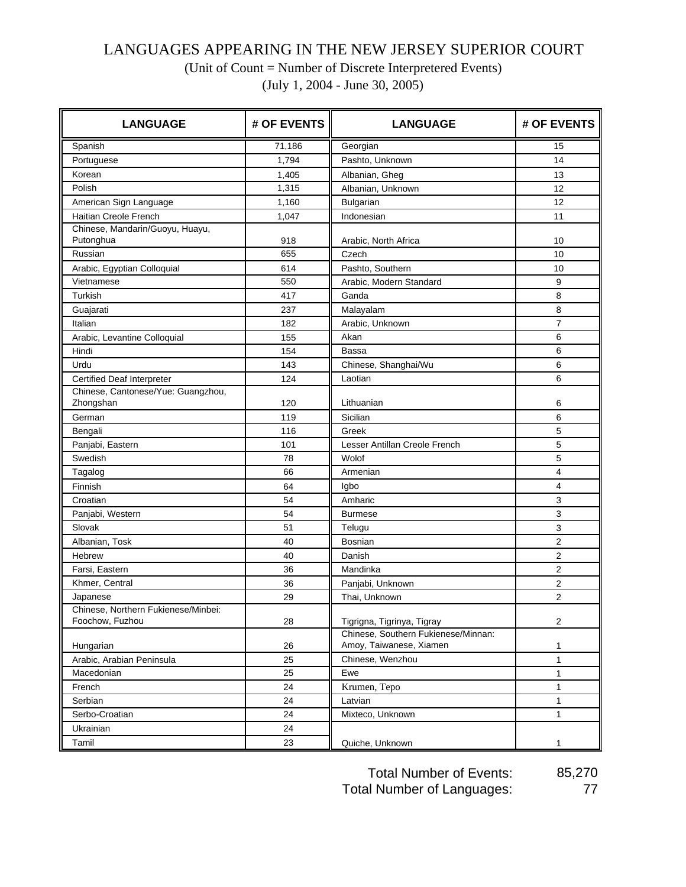## LANGUAGES APPEARING IN THE NEW JERSEY SUPERIOR COURT

(Unit of Count = Number of Discrete Interpretered Events)

(July 1, 2004 - June 30, 2005)

| <b>LANGUAGE</b>                                        | # OF EVENTS | <b>LANGUAGE</b>                                                | # OF EVENTS      |
|--------------------------------------------------------|-------------|----------------------------------------------------------------|------------------|
| Spanish                                                | 71,186      | Georgian                                                       | 15               |
| Portuguese                                             | 1.794       | Pashto, Unknown                                                | 14               |
| Korean                                                 | 1,405       | Albanian, Gheg                                                 | 13               |
| Polish                                                 | 1,315       | Albanian, Unknown                                              | 12               |
| American Sign Language                                 | 1,160       | Bulgarian                                                      | 12               |
| Haitian Creole French                                  | 1,047       | Indonesian                                                     | 11               |
| Chinese, Mandarin/Guoyu, Huayu,<br>Putonghua           | 918         | Arabic, North Africa                                           | 10               |
| Russian                                                | 655         | Czech                                                          | 10               |
| Arabic, Egyptian Colloquial                            | 614         | Pashto, Southern                                               | 10               |
| Vietnamese                                             | 550         | Arabic, Modern Standard                                        | 9                |
| Turkish                                                | 417         | Ganda                                                          | 8                |
| Guajarati                                              | 237         | Malayalam                                                      | 8                |
| Italian                                                | 182         | Arabic, Unknown                                                | $\overline{7}$   |
| Arabic, Levantine Colloquial                           | 155         | Akan                                                           | 6                |
| Hindi                                                  | 154         | Bassa                                                          | 6                |
| Urdu                                                   | 143         | Chinese, Shanghai/Wu                                           | 6                |
| <b>Certified Deaf Interpreter</b>                      | 124         | Laotian                                                        | 6                |
| Chinese, Cantonese/Yue: Guangzhou,<br>Zhongshan        | 120         | Lithuanian                                                     | 6                |
| German                                                 | 119         | Sicilian                                                       | 6                |
| Bengali                                                | 116         | Greek                                                          | 5                |
| Panjabi, Eastern                                       | 101         | Lesser Antillan Creole French                                  | 5                |
| Swedish                                                | 78          | Wolof                                                          | 5                |
| Tagalog                                                | 66          | Armenian                                                       | 4                |
| Finnish                                                | 64          | Igbo                                                           | $\overline{4}$   |
| Croatian                                               | 54          | Amharic                                                        | 3                |
| Panjabi, Western                                       | 54          | <b>Burmese</b>                                                 | $\mathbf{3}$     |
| Slovak                                                 | 51          | Telugu                                                         | $\mathbf{3}$     |
| Albanian, Tosk                                         | 40          | <b>Bosnian</b>                                                 | $\overline{2}$   |
| Hebrew                                                 | 40          | Danish                                                         | 2                |
| Farsi, Eastern                                         | 36          | Mandinka                                                       | 2                |
| Khmer, Central                                         | 36          | Panjabi, Unknown                                               | 2                |
| Japanese                                               | 29          | Thai, Unknown                                                  | $\overline{2}$   |
| Chinese, Northern Fukienese/Minbei:<br>Foochow, Fuzhou | 28          | Tigrigna, Tigrinya, Tigray                                     | $\boldsymbol{2}$ |
| Hungarian                                              | 26          | Chinese, Southern Fukienese/Minnan:<br>Amoy, Taiwanese, Xiamen | 1                |
| Arabic, Arabian Peninsula                              | 25          | Chinese, Wenzhou                                               | $\mathbf{1}$     |
| Macedonian                                             | 25          | Ewe                                                            | $\mathbf{1}$     |
| French                                                 | 24          | Krumen, Tepo                                                   | $\mathbf{1}$     |
| Serbian                                                | 24          | Latvian                                                        | $\mathbf{1}$     |
| Serbo-Croatian                                         | 24          | Mixteco, Unknown                                               | $\mathbf{1}$     |
| Ukrainian                                              | 24          |                                                                |                  |
| Tamil                                                  | 23          | Quiche, Unknown                                                | 1                |

Total Number of Events: 85,270 Total Number of Languages: 77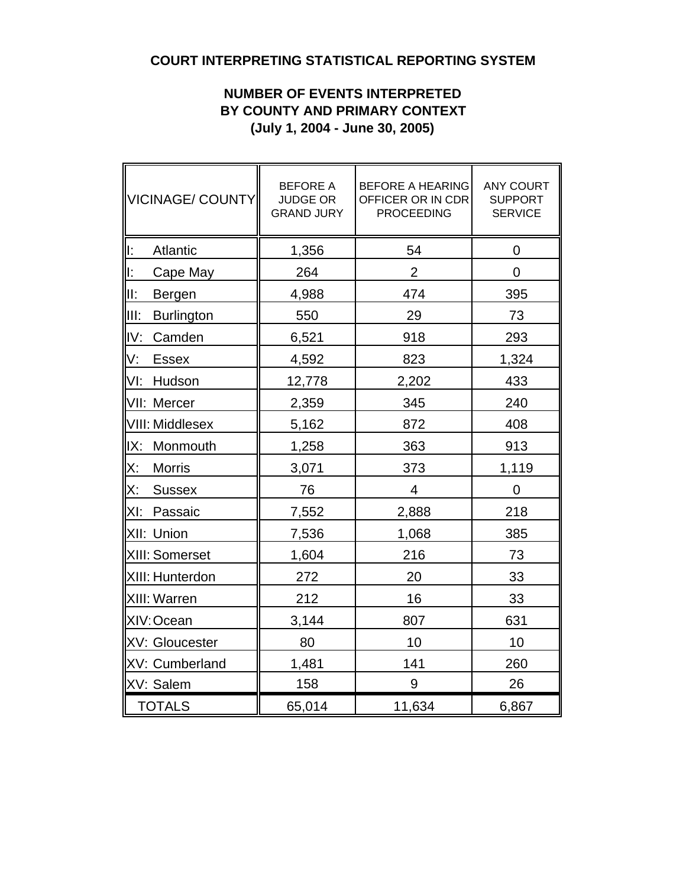## **COURT INTERPRETING STATISTICAL REPORTING SYSTEM**

## **NUMBER OF EVENTS INTERPRETED BY COUNTY AND PRIMARY CONTEXT (July 1, 2004 - June 30, 2005)**

| VICINAGE/ COUNTY          | <b>BEFORE A</b><br><b>JUDGE OR</b><br><b>GRAND JURY</b> | <b>BEFORE A HEARING</b><br>OFFICER OR IN CDR<br><b>PROCEEDING</b> | <b>ANY COURT</b><br><b>SUPPORT</b><br><b>SERVICE</b> |
|---------------------------|---------------------------------------------------------|-------------------------------------------------------------------|------------------------------------------------------|
| lı:<br>Atlantic           | 1,356                                                   | 54                                                                | 0                                                    |
| ll:<br>Cape May           | 264                                                     | $\overline{2}$                                                    | $\overline{0}$                                       |
| III:<br>Bergen            | 4,988                                                   | 474                                                               | 395                                                  |
| lii:<br><b>Burlington</b> | 550                                                     | 29                                                                | 73                                                   |
| IV:<br>Camden             | 6,521                                                   | 918                                                               | 293                                                  |
| IV:<br><b>Essex</b>       | 4,592                                                   | 823                                                               | 1,324                                                |
| VI:<br>Hudson             | 12,778                                                  | 2,202                                                             | 433                                                  |
| VII: Mercer               | 2,359                                                   | 345                                                               | 240                                                  |
| <b>VIII: Middlesex</b>    | 5,162                                                   | 872                                                               | 408                                                  |
| IX:<br>Monmouth           | 1,258                                                   | 363                                                               | 913                                                  |
| X:<br><b>Morris</b>       | 3,071                                                   | 373                                                               | 1,119                                                |
| X:<br><b>Sussex</b>       | 76                                                      | 4                                                                 | 0                                                    |
| XI:<br>Passaic            | 7,552                                                   | 2,888                                                             | 218                                                  |
| XII: Union                | 7,536                                                   | 1,068                                                             | 385                                                  |
| XIII: Somerset            | 1,604                                                   | 216                                                               | 73                                                   |
| XIII: Hunterdon           | 272                                                     | 20                                                                | 33                                                   |
| XIII: Warren              | 212                                                     | 16                                                                | 33                                                   |
| XIV: Ocean                | 3,144                                                   | 807                                                               | 631                                                  |
| XV: Gloucester            | 80                                                      | 10                                                                | 10                                                   |
| XV: Cumberland            | 1,481                                                   | 141                                                               | 260                                                  |
| XV: Salem                 | 158                                                     | 9                                                                 | 26                                                   |
| <b>TOTALS</b>             | 65,014                                                  | 11,634                                                            | 6,867                                                |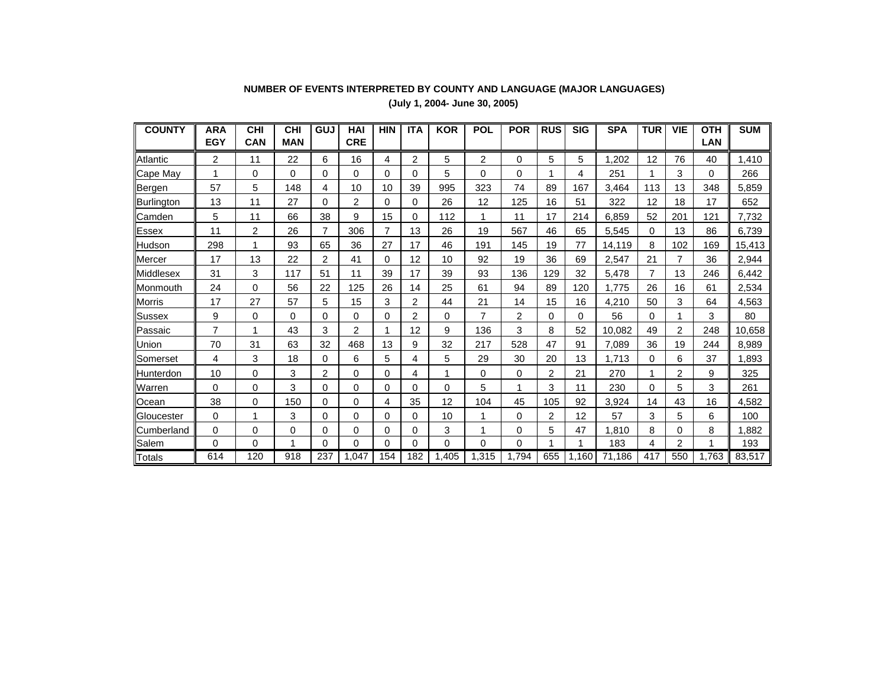| <b>COUNTY</b> | <b>ARA</b><br><b>EGY</b> | <b>CHI</b><br>CAN | <b>CHI</b><br><b>MAN</b> | GUJ      | <b>HAI</b><br><b>CRE</b> | <b>HIN</b> | <b>ITA</b>     | <b>KOR</b> | <b>POL</b>     | <b>POR</b> | <b>RUS</b>     | <b>SIG</b> | <b>SPA</b> | <b>TUR</b> | <b>VIE</b>     | OTH<br>LAN | <b>SUM</b> |
|---------------|--------------------------|-------------------|--------------------------|----------|--------------------------|------------|----------------|------------|----------------|------------|----------------|------------|------------|------------|----------------|------------|------------|
| Atlantic      | 2                        | 11                | 22                       | 6        | 16                       | 4          | $\overline{2}$ | 5          | $\overline{2}$ | 0          | 5              | 5          | ,202       | 12         | 76             | 40         | 1,410      |
| Cape May      | 1                        | 0                 | $\Omega$                 | $\Omega$ | 0                        | 0          | 0              | 5          | 0              | 0          |                | 4          | 251        |            | 3              | $\Omega$   | 266        |
| Bergen        | 57                       | 5                 | 148                      | 4        | 10                       | 10         | 39             | 995        | 323            | 74         | 89             | 167        | 3,464      | 113        | 13             | 348        | 5,859      |
| Burlington    | 13                       | 11                | 27                       | 0        | 2                        | 0          | 0              | 26         | 12             | 125        | 16             | 51         | 322        | 12         | 18             | 17         | 652        |
| Camden        | 5                        | 11                | 66                       | 38       | 9                        | 15         | 0              | 112        |                | 11         | 17             | 214        | 6,859      | 52         | 201            | 121        | 7,732      |
| Essex         | 11                       | 2                 | 26                       | 7        | 306                      | 7          | 13             | 26         | 19             | 567        | 46             | 65         | 5,545      | 0          | 13             | 86         | 6,739      |
| Hudson        | 298                      | 1                 | 93                       | 65       | 36                       | 27         | 17             | 46         | 191            | 145        | 19             | 77         | 14,119     | 8          | 102            | 169        | 15,413     |
| Mercer        | 17                       | 13                | 22                       | 2        | 41                       | 0          | 12             | 10         | 92             | 19         | 36             | 69         | 2,547      | 21         | 7              | 36         | 2,944      |
| Middlesex     | 31                       | 3                 | 117                      | 51       | 11                       | 39         | 17             | 39         | 93             | 136        | 129            | 32         | 5,478      | 7          | 13             | 246        | 6,442      |
| Monmouth      | 24                       | 0                 | 56                       | 22       | 125                      | 26         | 14             | 25         | 61             | 94         | 89             | 120        | ,775       | 26         | 16             | 61         | 2,534      |
| Morris        | 17                       | 27                | 57                       | 5        | 15                       | 3          | 2              | 44         | 21             | 14         | 15             | 16         | 4,210      | 50         | 3              | 64         | 4,563      |
| <b>Sussex</b> | 9                        | 0                 | 0                        | 0        | 0                        | 0          | 2              | 0          | 7              | 2          | 0              | 0          | 56         | 0          |                | 3          | 80         |
| Passaic       | 7                        | 1                 | 43                       | 3        | 2                        |            | 12             | 9          | 136            | 3          | 8              | 52         | 10.082     | 49         | $\overline{2}$ | 248        | 10,658     |
| Union         | 70                       | 31                | 63                       | 32       | 468                      | 13         | 9              | 32         | 217            | 528        | 47             | 91         | 7.089      | 36         | 19             | 244        | 8,989      |
| Somerset      | 4                        | 3                 | 18                       | 0        | 6                        | 5          | 4              | 5          | 29             | 30         | 20             | 13         | .713       | $\Omega$   | 6              | 37         | 1,893      |
| Hunterdon     | 10                       | 0                 | 3                        | 2        | 0                        | 0          | 4              | 1          | $\Omega$       | 0          | $\overline{2}$ | 21         | 270        |            | 2              | 9          | 325        |
| <b>Warren</b> | 0                        | 0                 | 3                        | 0        | 0                        | 0          | 0              | 0          | 5              | 1          | 3              | 11         | 230        | $\Omega$   | 5              | 3          | 261        |
| Ocean         | 38                       | 0                 | 150                      | 0        | 0                        | 4          | 35             | 12         | 104            | 45         | 105            | 92         | 3,924      | 14         | 43             | 16         | 4,582      |
| Gloucester    | 0                        | 1                 | 3                        | $\Omega$ | 0                        | 0          | 0              | 10         | 1              | 0          | 2              | 12         | 57         | 3          | 5              | 6          | 100        |
| Cumberland    | $\Omega$                 | 0                 | 0                        | 0        | 0                        | $\Omega$   | 0              | 3          |                | 0          | 5              | 47         | ,810       | 8          | 0              | 8          | 1,882      |
| Salem         | $\Omega$                 | 0                 | -1                       | $\Omega$ | $\Omega$                 | 0          | 0              | 0          | 0              | 0          |                | 1          | 183        | 4          | 2              | 1          | 193        |
| <b>Totals</b> | 614                      | 120               | 918                      | 237      | 1,047                    | 154        | 182            | 1.405      | 1.315          | 1,794      | 655            | 1.160      | 71.186     | 417        | 550            | 1,763      | 83,517     |

## **NUMBER OF EVENTS INTERPRETED BY COUNTY AND LANGUAGE (MAJOR LANGUAGES) (July 1, 2004- June 30, 2005)**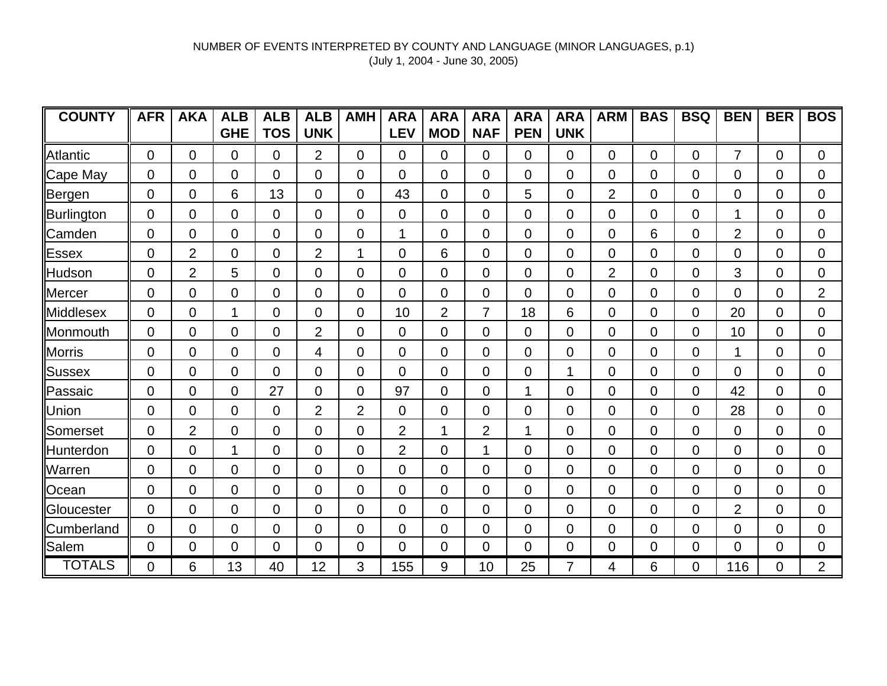| <b>COUNTY</b> | <b>AFR</b>     | <b>AKA</b>     | <b>ALB</b>     | <b>ALB</b>     | <b>ALB</b>     | <b>AMH</b>     | <b>ARA</b>     | <b>ARA</b>     | <b>ARA</b>     | <b>ARA</b> | <b>ARA</b> | <b>ARM</b>     | <b>BAS</b>  | <b>BSQ</b>  | <b>BEN</b>     | <b>BER</b>     | <b>BOS</b>     |
|---------------|----------------|----------------|----------------|----------------|----------------|----------------|----------------|----------------|----------------|------------|------------|----------------|-------------|-------------|----------------|----------------|----------------|
|               |                |                | <b>GHE</b>     | <b>TOS</b>     | <b>UNK</b>     |                | <b>LEV</b>     | <b>MOD</b>     | <b>NAF</b>     | <b>PEN</b> | <b>UNK</b> |                |             |             |                |                |                |
| Atlantic      | $\mathbf 0$    | $\Omega$       | $\Omega$       | $\overline{0}$ | $\overline{2}$ | $\Omega$       | $\overline{0}$ | $\mathbf 0$    | $\mathbf 0$    | 0          | 0          | $\Omega$       | $\Omega$    | $\Omega$    | $\overline{7}$ | $\Omega$       | $\Omega$       |
| Cape May      | $\overline{0}$ | 0              | $\overline{0}$ | $\overline{0}$ | $\overline{0}$ | 0              | $\overline{0}$ | $\mathbf 0$    | $\mathbf 0$    | 0          | 0          | 0              | $\Omega$    | 0           | $\overline{0}$ | $\overline{0}$ | $\overline{0}$ |
| Bergen        | $\overline{0}$ | $\overline{0}$ | 6              | 13             | 0              | $\overline{0}$ | 43             | $\mathbf 0$    | $\mathbf 0$    | 5          | 0          | $\overline{2}$ | $\Omega$    | $\Omega$    | $\overline{0}$ | $\overline{0}$ | $\overline{0}$ |
| Burlington    | 0              | 0              | 0              | $\overline{0}$ | 0              | 0              | $\overline{0}$ | 0              | $\overline{0}$ | 0          | 0          | 0              | $\mathbf 0$ | 0           |                | $\overline{0}$ | $\mathbf 0$    |
| Camden        | 0              | 0              | 0              | $\mathbf 0$    | 0              | $\overline{0}$ |                | 0              | $\mathbf 0$    | 0          | 0          | 0              | 6           | 0           | $\overline{2}$ | 0              | $\overline{0}$ |
| Essex         | $\overline{0}$ | $\overline{2}$ | $\mathbf{0}$   | $\overline{0}$ | $\overline{2}$ | 1              | $\overline{0}$ | 6              | $\mathbf 0$    | 0          | 0          | 0              | 0           | 0           | $\Omega$       | $\overline{0}$ | $\mathbf 0$    |
| Hudson        | 0              | $\overline{2}$ | 5              | $\mathbf 0$    | 0              | 0              | $\overline{0}$ | 0              | $\mathbf 0$    | 0          | 0          | $\overline{2}$ | 0           | 0           | 3              | 0              | $\mathbf 0$    |
| Mercer        | 0              | 0              | $\Omega$       | 0              | 0              | 0              | $\overline{0}$ | 0              | $\Omega$       | 0          | 0          | 0              | 0           | 0           | 0              | 0              | $\overline{2}$ |
| Middlesex     | 0              | 0              | 1              | $\overline{0}$ | 0              | $\overline{0}$ | 10             | $\overline{2}$ | $\overline{7}$ | 18         | 6          | 0              | $\Omega$    | $\Omega$    | 20             | $\overline{0}$ | $\mathbf 0$    |
| Monmouth      | 0              | 0              | $\overline{0}$ | $\overline{0}$ | $\overline{2}$ | $\overline{0}$ | $\overline{0}$ | 0              | $\overline{0}$ | 0          | 0          | 0              | 0           | $\Omega$    | 10             | $\overline{0}$ | $\overline{0}$ |
| Morris        | 0              | 0              | 0              | $\overline{0}$ | 4              | 0              | $\overline{0}$ | 0              | $\mathbf 0$    | 0          | 0          | 0              | $\mathbf 0$ | 0           | 1              | $\overline{0}$ | $\overline{0}$ |
| Sussex        | 0              | 0              | $\overline{0}$ | $\overline{0}$ | 0              | 0              | $\overline{0}$ | 0              | $\mathbf 0$    | 0          | 1          | 0              | $\mathbf 0$ | 0           | $\overline{0}$ | 0              | $\mathbf 0$    |
| Passaic       | 0              | 0              | 0              | 27             | 0              | 0              | 97             | 0              | $\overline{0}$ | 1          | 0          | 0              | 0           | $\mathbf 0$ | 42             | 0              | $\mathbf 0$    |
| Union         | 0              | 0              | 0              | $\overline{0}$ | $\overline{2}$ | $\overline{2}$ | $\overline{0}$ | 0              | 0              | 0          | 0          | 0              | 0           | $\mathbf 0$ | 28             | 0              | $\mathbf 0$    |
| Somerset      | $\mathbf 0$    | $\overline{2}$ | $\mathbf{0}$   | $\mathbf 0$    | 0              | 0              | $\overline{2}$ | 1              | $\overline{2}$ | 1          | 0          | 0              | 0           | 0           | $\Omega$       | $\overline{0}$ | $\mathbf 0$    |
| Hunterdon     | 0              | 0              | 1              | $\Omega$       | 0              | 0              | $\overline{2}$ | $\Omega$       | 1              | 0          | 0          | 0              | 0           | 0           | $\Omega$       | 0              | $\overline{0}$ |
| Warren        | 0              | 0              | 0              | 0              | 0              | 0              | $\Omega$       | $\Omega$       | $\Omega$       | 0          | 0          | 0              | 0           | 0           | 0              | 0              | $\mathbf 0$    |
| Ocean         | 0              | 0              | $\overline{0}$ | $\Omega$       | 0              | $\overline{0}$ | $\overline{0}$ | $\mathbf 0$    | $\mathbf 0$    | 0          | 0          | $\Omega$       | $\Omega$    | $\Omega$    | $\Omega$       | $\overline{0}$ | $\overline{0}$ |
| Gloucester    | 0              | 0              | 0              | 0              | 0              | $\overline{0}$ | $\overline{0}$ | $\mathbf 0$    | $\overline{0}$ | 0          | 0          | 0              | 0           | 0           | $\overline{2}$ | 0              | $\overline{0}$ |
| Cumberland    | 0              | 0              | 0              | $\overline{0}$ | 0              | 0              | $\overline{0}$ | 0              | 0              | 0          | 0          | 0              | 0           | $\Omega$    | $\overline{0}$ | 0              | $\overline{0}$ |
| Salem         | 0              | 0              | 0              | $\overline{0}$ | $\overline{0}$ | $\overline{0}$ | $\overline{0}$ | 0              | $\overline{0}$ | 0          | 0          | $\mathbf 0$    | 0           | $\mathbf 0$ | $\overline{0}$ | $\overline{0}$ | $\mathbf 0$    |
| <b>TOTALS</b> | 0              | 6              | 13             | 40             | 12             | 3              | 155            | 9              | 10             | 25         | 7          | 4              | 6           | 0           | 116            | 0              | $\overline{2}$ |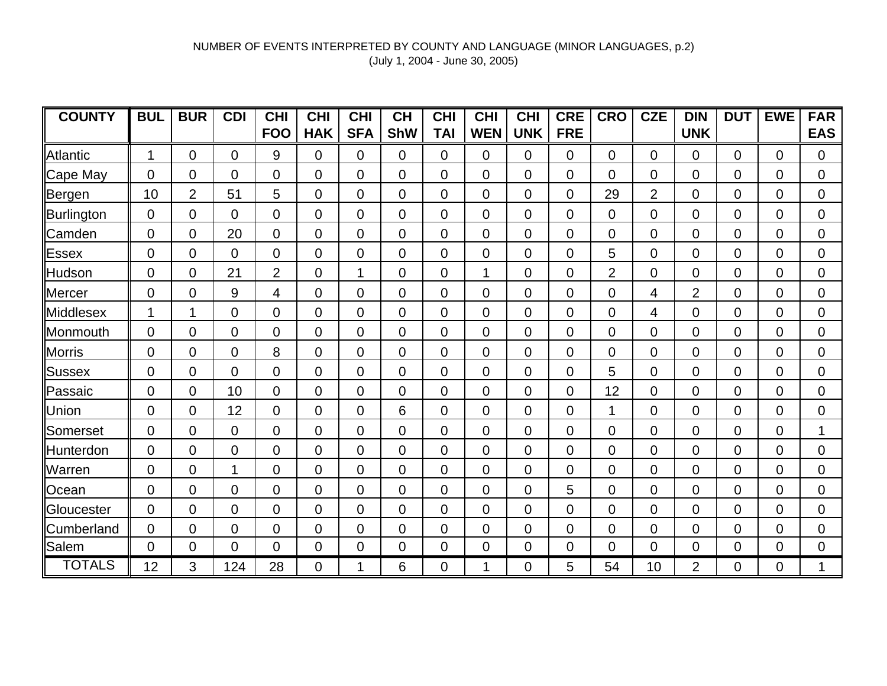| <b>COUNTY</b>   | <b>BUL</b>     | <b>BUR</b>     | <b>CDI</b>     | <b>CHI</b>     | <b>CHI</b>     | <b>CHI</b>     | <b>CH</b>      | <b>CHI</b>     | <b>CHI</b>     | <b>CHI</b>     | <b>CRE</b> | <b>CRO</b>     | <b>CZE</b>     | <b>DIN</b>     | <b>DUT</b>     | <b>EWE</b>     | <b>FAR</b>     |
|-----------------|----------------|----------------|----------------|----------------|----------------|----------------|----------------|----------------|----------------|----------------|------------|----------------|----------------|----------------|----------------|----------------|----------------|
|                 |                |                |                | <b>FOO</b>     | <b>HAK</b>     | <b>SFA</b>     | <b>ShW</b>     | <b>TAI</b>     | <b>WEN</b>     | <b>UNK</b>     | <b>FRE</b> |                |                | <b>UNK</b>     |                |                | <b>EAS</b>     |
| Atlantic        | 1              | $\overline{0}$ | $\overline{0}$ | 9              | $\Omega$       | 0              | $\Omega$       | $\Omega$       | 0              | $\Omega$       | $\Omega$   | $\Omega$       | $\Omega$       | $\Omega$       | $\Omega$       | $\Omega$       | $\overline{0}$ |
| Cape May        | $\overline{0}$ | 0              | $\Omega$       | $\Omega$       | $\overline{0}$ | $\overline{0}$ | $\overline{0}$ | $\overline{0}$ | $\Omega$       | $\Omega$       | 0          | 0              | 0              | $\Omega$       | $\Omega$       | $\Omega$       | 0              |
| ∥Be <u>rgen</u> | 10             | $\overline{2}$ | 51             | 5              | $\Omega$       | $\overline{0}$ | $\Omega$       | $\Omega$       | $\Omega$       | $\Omega$       | $\Omega$   | 29             | $\overline{2}$ | $\Omega$       | $\Omega$       | $\Omega$       | 0              |
| Burlington      | 0              | 0              | $\Omega$       | $\overline{0}$ | $\overline{0}$ | 0              | $\overline{0}$ | $\overline{0}$ | $\Omega$       | $\overline{0}$ | 0          | 0              | 0              | 0              | $\overline{0}$ | 0              | 0              |
| Camden          | $\overline{0}$ | $\overline{0}$ | 20             | $\overline{0}$ | $\overline{0}$ | 0              | $\overline{0}$ | $\overline{0}$ | $\overline{0}$ | $\overline{0}$ | 0          | 0              | $\Omega$       | 0              | $\overline{0}$ | 0              | 0              |
| <b>Essex</b>    | $\overline{0}$ | 0              | 0              | $\overline{0}$ | $\mathbf 0$    | 0              | $\overline{0}$ | $\overline{0}$ | $\overline{0}$ | $\overline{0}$ | 0          | 5              | 0              | 0              | $\overline{0}$ | 0              | 0              |
| Hudson          | $\mathbf 0$    | 0              | 21             | $\overline{2}$ | $\overline{0}$ | 1              | $\overline{0}$ | $\overline{0}$ | 1              | $\overline{0}$ | 0          | $\overline{2}$ | 0              | 0              | $\Omega$       | 0              | $\mathbf 0$    |
| Mercer          | $\overline{0}$ | $\overline{0}$ | 9              | 4              | $\overline{0}$ | $\Omega$       | $\overline{0}$ | $\overline{0}$ | $\Omega$       | $\overline{0}$ | 0          | 0              | 4              | $\overline{2}$ | $\Omega$       | 0              | 0              |
| Middlesex       | 1              |                | $\overline{0}$ | $\overline{0}$ | $\overline{0}$ | 0              | $\overline{0}$ | $\overline{0}$ | $\overline{0}$ | $\overline{0}$ | 0          | 0              | 4              | $\overline{0}$ | $\Omega$       | $\Omega$       | $\overline{0}$ |
| Monmouth        | $\overline{0}$ | $\Omega$       | 0              | $\Omega$       | $\Omega$       | $\overline{0}$ | $\Omega$       | $\Omega$       | $\Omega$       | $\Omega$       | $\Omega$   | 0              | $\Omega$       | $\Omega$       | $\Omega$       | $\Omega$       | $\overline{0}$ |
| Morris          | $\overline{0}$ | 0              | 0              | 8              | $\overline{0}$ | $\overline{0}$ | $\overline{0}$ | $\overline{0}$ | $\overline{0}$ | $\overline{0}$ | 0          | 0              | 0              | 0              | $\overline{0}$ | $\overline{0}$ | $\mathbf 0$    |
| Sussex          | $\overline{0}$ | 0              | $\overline{0}$ | $\overline{0}$ | $\overline{0}$ | $\overline{0}$ | $\overline{0}$ | $\overline{0}$ | $\overline{0}$ | $\overline{0}$ | 0          | 5              | 0              | $\Omega$       | $\Omega$       | 0              | $\mathbf 0$    |
| Passaic         | $\overline{0}$ | 0              | 10             | $\mathbf 0$    | $\mathbf 0$    | 0              | $\overline{0}$ | $\overline{0}$ | $\overline{0}$ | $\overline{0}$ | 0          | 12             | 0              | 0              | $\mathbf 0$    | $\overline{0}$ | 0              |
| Union           | $\overline{0}$ | 0              | 12             | $\overline{0}$ | $\overline{0}$ | $\overline{0}$ | 6              | $\overline{0}$ | $\Omega$       | $\overline{0}$ | 0          | 1              | 0              | 0              | $\overline{0}$ | 0              | 0              |
| Somerset        | $\mathbf 0$    | 0              | 0              | $\overline{0}$ | $\mathbf 0$    | 0              | $\overline{0}$ | $\overline{0}$ | $\overline{0}$ | 0              | 0          | 0              | 0              | 0              | $\overline{0}$ | 0              | 1              |
| Hunterdon       | $\mathbf 0$    | 0              | 0              | $\overline{0}$ | $\mathbf 0$    | 0              | $\overline{0}$ | 0              | 0              | 0              | 0          | 0              | 0              | 0              | $\Omega$       | 0              | $\mathbf 0$    |
| Warren          | $\overline{0}$ | 0              | 1              | $\mathbf 0$    | $\overline{0}$ | 0              | $\Omega$       | $\overline{0}$ | 0              | $\Omega$       | 0          | 0              | 0              | 0              | $\Omega$       | 0              | 0              |
| Ocean           | $\mathbf 0$    | 0              | $\Omega$       | $\overline{0}$ | $\overline{0}$ | $\Omega$       | $\overline{0}$ | $\Omega$       | $\mathbf 0$    | $\Omega$       | 5          | 0              | 0              | 0              | $\Omega$       | $\Omega$       | 0              |
| Gloucester      | $\Omega$       | 0              | $\overline{0}$ | $\overline{0}$ | $\overline{0}$ | $\overline{0}$ | $\overline{0}$ | $\overline{0}$ | $\Omega$       | $\overline{0}$ | 0          | 0              | $\Omega$       | 0              | $\overline{0}$ | 0              | 0              |
| Cumberland      | $\Omega$       | 0              | $\Omega$       | 0              | $\overline{0}$ | 0              | $\overline{0}$ | $\overline{0}$ | $\overline{0}$ | $\overline{0}$ | 0          | 0              | 0              | 0              | 0              | $\Omega$       | 0              |
| Salem           | 0              | 0              | $\overline{0}$ | $\Omega$       | $\overline{0}$ | $\overline{0}$ | $\overline{0}$ | $\overline{0}$ | $\Omega$       | $\overline{0}$ | 0          | $\Omega$       | $\Omega$       | $\overline{0}$ | $\Omega$       | $\overline{0}$ | $\mathbf 0$    |
| <b>TOTALS</b>   | 12             | 3              | 124            | 28             | $\overline{0}$ | 1              | 6              | $\overline{0}$ | 1              | $\overline{0}$ | 5          | 54             | 10             | 2              | 0              | 0              | 1              |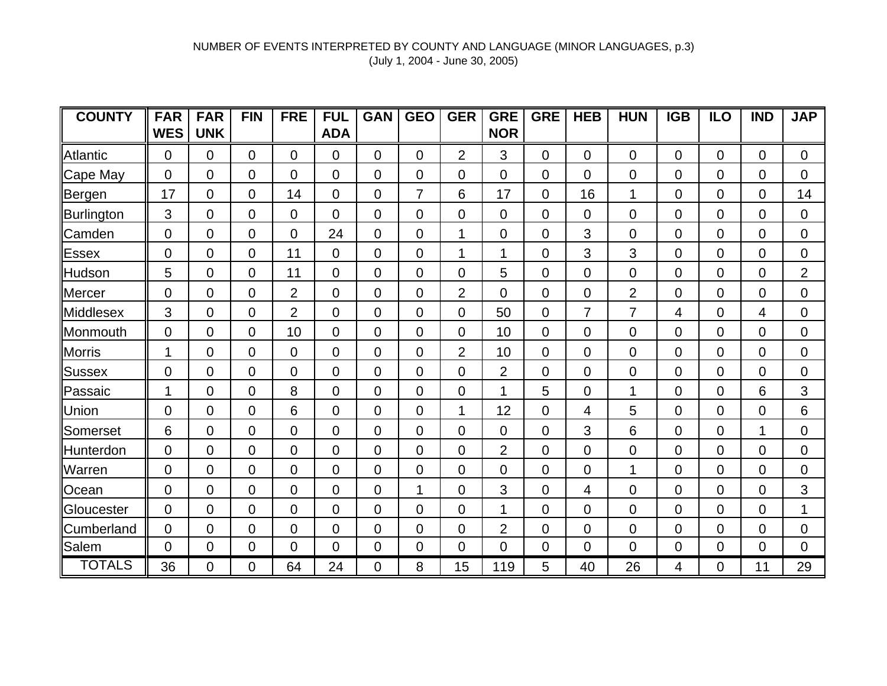| <b>COUNTY</b>   | <b>FAR</b>     | <b>FAR</b>     | <b>FIN</b>     | <b>FRE</b>     | <b>FUL</b>     | <b>GAN</b>     | <b>GEO</b>     | <b>GER</b>     | <b>GRE</b>     | <b>GRE</b>     | <b>HEB</b>     | <b>HUN</b>     | <b>IGB</b>     | <b>ILO</b>     | <b>IND</b>     | <b>JAP</b>     |
|-----------------|----------------|----------------|----------------|----------------|----------------|----------------|----------------|----------------|----------------|----------------|----------------|----------------|----------------|----------------|----------------|----------------|
|                 | <b>WES</b>     | <b>UNK</b>     |                |                | <b>ADA</b>     |                |                |                | <b>NOR</b>     |                |                |                |                |                |                |                |
| <b>Atlantic</b> | $\overline{0}$ | $\overline{0}$ | $\Omega$       | 0              | $\overline{0}$ | $\Omega$       | $\overline{0}$ | $\overline{2}$ | 3              | $\overline{0}$ | $\overline{0}$ | $\overline{0}$ | 0              | $\overline{0}$ | $\overline{0}$ | $\overline{0}$ |
| Cape May        | $\mathbf 0$    | $\mathbf 0$    | 0              | 0              | $\overline{0}$ | 0              | $\mathbf 0$    | 0              | $\mathbf 0$    | $\overline{0}$ | $\mathbf 0$    | $\overline{0}$ | 0              | $\mathbf 0$    | $\overline{0}$ | $\overline{0}$ |
| Bergen          | 17             | $\overline{0}$ | $\overline{0}$ | 14             | $\Omega$       | 0              | $\overline{7}$ | 6              | 17             | $\overline{0}$ | 16             | 1              | 0              | $\overline{0}$ | 0              | 14             |
| Burlington      | 3              | $\overline{0}$ | 0              | 0              | $\Omega$       | $\Omega$       | $\overline{0}$ | 0              | 0              | $\overline{0}$ | 0              | $\overline{0}$ | 0              | $\mathbf 0$    | 0              | $\overline{0}$ |
| Camden          | 0              | $\overline{0}$ | 0              | 0              | 24             | 0              | $\overline{0}$ | 1              | 0              | $\overline{0}$ | 3              | $\overline{0}$ | 0              | $\mathbf 0$    | 0              | 0              |
| <b>Essex</b>    | $\mathbf 0$    | $\overline{0}$ | 0              | 11             | $\Omega$       | 0              | $\overline{0}$ | $\mathbf{1}$   | 1              | $\overline{0}$ | 3              | 3              | 0              | $\mathbf 0$    | 0              | 0              |
| Hudson          | 5              | $\overline{0}$ | 0              | 11             | $\overline{0}$ | 0              | 0              | 0              | 5              | $\mathbf 0$    | $\mathbf 0$    | $\overline{0}$ | 0              | $\mathbf 0$    | 0              | $\overline{2}$ |
| <b>Mercer</b>   | 0              | $\overline{0}$ | 0              | $\overline{2}$ | $\Omega$       | 0              | $\overline{0}$ | 2              | 0              | $\overline{0}$ | $\overline{0}$ | $\overline{2}$ | 0              | $\mathbf 0$    | 0              | $\overline{0}$ |
| Middlesex       | 3              | $\overline{0}$ | 0              | 2              | $\Omega$       | $\Omega$       | $\Omega$       | 0              | 50             | $\overline{0}$ | $\overline{7}$ | $\overline{7}$ | 4              | $\Omega$       | 4              | $\overline{0}$ |
| Monmouth        | $\overline{0}$ | $\overline{0}$ | 0              | 10             | $\Omega$       | 0              | $\overline{0}$ | 0              | 10             | $\overline{0}$ | $\overline{0}$ | $\overline{0}$ | 0              | $\overline{0}$ | 0              | $\overline{0}$ |
| <b>Morris</b>   | 1              | 0              | 0              | 0              | $\Omega$       | $\mathbf 0$    | $\overline{0}$ | $\overline{2}$ | 10             | $\overline{0}$ | $\overline{0}$ | $\overline{0}$ | 0              | $\mathbf 0$    | 0              | $\mathbf 0$    |
| <b>Sussex</b>   | $\mathbf 0$    | $\overline{0}$ | $\overline{0}$ | 0              | $\overline{0}$ | $\overline{0}$ | $\overline{0}$ | 0              | $\overline{2}$ | $\overline{0}$ | $\mathbf 0$    | $\overline{0}$ | 0              | $\mathbf 0$    | 0              | $\mathbf 0$    |
| Passaic         | 1              | $\overline{0}$ | 0              | 8              | $\Omega$       | 0              | $\overline{0}$ | 0              | 1              | 5              | $\overline{0}$ | 1              | 0              | $\mathbf 0$    | 6              | 3              |
| Union           | $\overline{0}$ | $\overline{0}$ | 0              | 6              | 0              | 0              | 0              | 1              | 12             | $\overline{0}$ | 4              | 5              | $\overline{0}$ | $\mathbf 0$    | 0              | 6              |
| Somerset        | 6              | 0              | 0              | 0              | $\Omega$       | 0              | $\Omega$       | 0              | 0              | $\overline{0}$ | 3              | 6              | 0              | $\mathbf 0$    | 1              | $\overline{0}$ |
| Hunterdon       | 0              | $\overline{0}$ | 0              | $\overline{0}$ | 0              | $\Omega$       | $\Omega$       | 0              | $\overline{2}$ | $\overline{0}$ | $\mathbf 0$    | $\overline{0}$ | 0              | $\mathbf 0$    | 0              | $\overline{0}$ |
| Warren          | $\overline{0}$ | $\overline{0}$ | 0              | 0              | $\Omega$       | $\Omega$       | $\Omega$       | 0              | $\Omega$       | $\Omega$       | $\mathbf 0$    | 1              | 0              | $\Omega$       | 0              | 0              |
| Ocean           | $\overline{0}$ | $\overline{0}$ | $\overline{0}$ | 0              | $\overline{0}$ | 0              | 1              | 0              | 3              | $\overline{0}$ | 4              | $\overline{0}$ | 0              | $\mathbf 0$    | 0              | 3              |
| Gloucester      | $\mathbf 0$    | $\overline{0}$ | $\overline{0}$ | 0              | $\overline{0}$ | 0              | $\overline{0}$ | 0              | 1              | $\overline{0}$ | $\mathbf 0$    | $\overline{0}$ | 0              | $\mathbf 0$    | 0              | 1              |
| Cumberland      | $\overline{0}$ | 0              | 0              | $\overline{0}$ | 0              | 0              | 0              | 0              | $\overline{2}$ | $\mathbf 0$    | $\mathbf 0$    | $\overline{0}$ | 0              | $\mathbf 0$    | 0              | $\overline{0}$ |
| Salem           | $\mathbf 0$    | $\overline{0}$ | 0              | $\overline{0}$ | $\mathbf{0}$   | $\overline{0}$ | $\overline{0}$ | $\mathbf 0$    | $\overline{0}$ | $\overline{0}$ | $\mathbf 0$    | $\overline{0}$ | $\mathbf 0$    | $\mathbf 0$    | $\mathbf 0$    | $\mathbf 0$    |
| <b>TOTALS</b>   | 36             | 0              | $\Omega$       | 64             | 24             | 0              | 8              | 15             | 119            | 5              | 40             | 26             | 4              | 0              | 11             | 29             |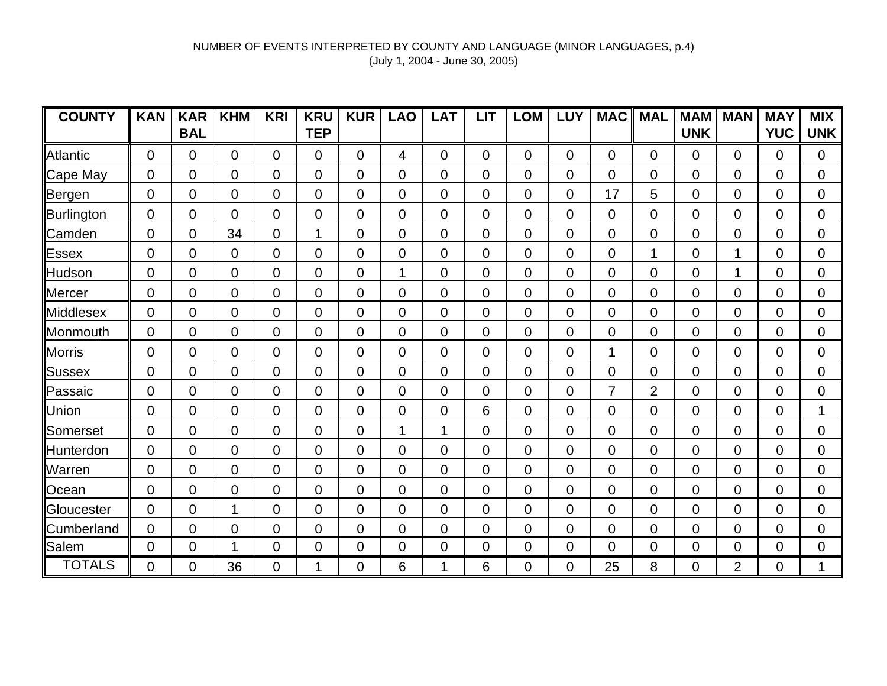| <b>COUNTY</b>     | <b>KAN</b>     | <b>KAR</b>     | <b>KHM</b> | <b>KRI</b>     | <b>KRU</b>     | <b>KUR</b>     | <b>LAO</b>     | <b>LAT</b>     | <b>LIT</b>     | <b>LOM</b>     | <b>LUY</b> | <b>MAC</b>     | <b>MAL</b>     | <b>MAM</b>     | <b>MAN</b>     | <b>MAY</b>  | <b>MIX</b>     |
|-------------------|----------------|----------------|------------|----------------|----------------|----------------|----------------|----------------|----------------|----------------|------------|----------------|----------------|----------------|----------------|-------------|----------------|
|                   |                | <b>BAL</b>     |            |                | <b>TEP</b>     |                |                |                |                |                |            |                |                | <b>UNK</b>     |                | <b>YUC</b>  | <b>UNK</b>     |
| Atlantic          | $\overline{0}$ | 0              | $\Omega$   | $\Omega$       | $\Omega$       | $\Omega$       | 4              | $\Omega$       | $\Omega$       | $\Omega$       | 0          | $\overline{0}$ | $\Omega$       | $\Omega$       | $\Omega$       | 0           | $\overline{0}$ |
| Cape May          | 0              | 0              | 0          | $\overline{0}$ | $\overline{0}$ | $\overline{0}$ | $\overline{0}$ | $\mathbf 0$    | $\Omega$       | 0              | 0          | 0              | 0              | $\overline{0}$ | $\mathbf 0$    | 0           | $\overline{0}$ |
| Bergen            | 0              | $\overline{0}$ | 0          | $\overline{0}$ | $\overline{0}$ | $\overline{0}$ | $\overline{0}$ | $\mathbf 0$    | $\overline{0}$ | 0              | 0          | 17             | 5              | $\Omega$       | $\mathbf 0$    | 0           | $\overline{0}$ |
| Burlington        | 0              | 0              | 0          | $\mathbf 0$    | $\mathbf 0$    | $\overline{0}$ | $\overline{0}$ | 0              | $\overline{0}$ | 0              | 0          | 0              | 0              | $\overline{0}$ | $\overline{0}$ | 0           | $\overline{0}$ |
| Camden            | 0              | $\overline{0}$ | 34         | $\overline{0}$ | 1              | $\overline{0}$ | $\overline{0}$ | $\mathbf 0$    | $\overline{0}$ | 0              | 0          | 0              | 0              | $\overline{0}$ | 0              | 0           | $\overline{0}$ |
| <b>Essex</b>      | 0              | 0              | 0          | $\overline{0}$ | $\overline{0}$ | $\overline{0}$ | $\overline{0}$ | 0              | $\Omega$       | 0              | 0          | 0              | 1              | $\overline{0}$ |                | 0           | $\overline{0}$ |
| Hudson            | 0              | 0              | 0          | $\overline{0}$ | $\mathbf 0$    | $\overline{0}$ |                | 0              | $\overline{0}$ | 0              | 0          | 0              | 0              | 0              | 1              | 0           | $\overline{0}$ |
| Mercer            | $\overline{0}$ | $\overline{0}$ | 0          | $\Omega$       | $\overline{0}$ | $\overline{0}$ | $\Omega$       | $\mathbf 0$    | $\Omega$       | 0              | 0          | $\Omega$       | 0              | $\Omega$       | $\Omega$       | 0           | $\overline{0}$ |
| Middlesex         | 0              | 0              | 0          | $\overline{0}$ | $\overline{0}$ | $\overline{0}$ | $\overline{0}$ | $\mathbf 0$    | $\Omega$       | 0              | 0          | $\overline{0}$ | 0              | $\overline{0}$ | $\mathbf 0$    | 0           | $\overline{0}$ |
| Monmouth          | 0              | $\overline{0}$ | 0          | $\overline{0}$ | $\overline{0}$ | $\overline{0}$ | $\overline{0}$ | $\overline{0}$ | $\overline{0}$ | 0              | 0          | $\overline{0}$ | 0              | $\Omega$       | $\mathbf 0$    | 0           | $\overline{0}$ |
| Morris            | 0              | 0              | 0          | $\overline{0}$ | $\overline{0}$ | $\overline{0}$ | $\mathbf 0$    | 0              | $\overline{0}$ | 0              | 0          | 1              | 0              | $\overline{0}$ | $\mathbf 0$    | 0           | $\overline{0}$ |
| Sussex            | 0              | 0              | 0          | $\overline{0}$ | $\overline{0}$ | $\overline{0}$ | $\overline{0}$ | $\overline{0}$ | $\overline{0}$ | 0              | 0          | 0              | 0              | $\overline{0}$ | $\mathbf 0$    | 0           | $\overline{0}$ |
| Passaic           | 0              | 0              | 0          | $\overline{0}$ | $\mathbf 0$    | 0              | $\mathbf 0$    | $\mathbf 0$    | $\overline{0}$ | 0              | 0          | 7              | $\overline{2}$ | $\overline{0}$ | $\overline{0}$ | 0           | $\mathbf 0$    |
| Union             | 0              | 0              | 0          | $\mathbf 0$    | $\mathbf 0$    | 0              | $\mathbf 0$    | 0              | 6              | 0              | 0          | 0              | 0              | 0              | 0              | 0           | 1              |
| Somerset          | 0              | 0              | 0          | $\overline{0}$ | $\overline{0}$ | $\overline{0}$ |                | 1              | $\overline{0}$ | 0              | 0          | 0              | 0              | $\overline{0}$ | $\Omega$       | 0           | $\overline{0}$ |
| Hunterdon         | 0              | 0              | 0          | $\overline{0}$ | $\overline{0}$ | $\overline{0}$ | $\overline{0}$ | $\mathbf 0$    | $\mathbf 0$    | 0              | 0          | 0              | 0              | $\overline{0}$ | $\Omega$       | 0           | $\overline{0}$ |
| Warren            | 0              | $\overline{0}$ | 0          | $\Omega$       | $\Omega$       | $\overline{0}$ | $\overline{0}$ | $\mathbf 0$    | $\mathbf 0$    | $\Omega$       | 0          | $\Omega$       | 0              | $\Omega$       | $\Omega$       | 0           | $\overline{0}$ |
| Ocean             | $\overline{0}$ | $\overline{0}$ | 0          | $\overline{0}$ | $\overline{0}$ | $\overline{0}$ | $\overline{0}$ | $\mathbf 0$    | $\mathbf 0$    | 0              | 0          | $\overline{0}$ | 0              | $\Omega$       | $\mathbf 0$    | 0           | $\overline{0}$ |
| <b>Gloucester</b> | 0              | $\overline{0}$ | 1          | $\overline{0}$ | $\overline{0}$ | $\overline{0}$ | $\overline{0}$ | $\Omega$       | $\Omega$       | $\overline{0}$ | 0          | $\overline{0}$ | $\Omega$       | $\Omega$       | $\Omega$       | 0           | $\overline{0}$ |
| <b>Cumberland</b> | 0              | 0              | 0          | $\overline{0}$ | $\overline{0}$ | $\overline{0}$ | $\overline{0}$ | $\mathbf 0$    | $\mathbf 0$    | 0              | 0          | $\Omega$       | $\Omega$       | $\Omega$       | $\overline{0}$ | 0           | $\overline{0}$ |
| Salem             | 0              | 0              | 1          | $\overline{0}$ | $\overline{0}$ | $\overline{0}$ | $\overline{0}$ | $\mathbf 0$    | $\overline{0}$ | 0              | 0          | $\overline{0}$ | 0              | $\overline{0}$ | $\mathbf 0$    | $\mathbf 0$ | $\overline{0}$ |
| <b>TOTALS</b>     | 0              | 0              | 36         | $\overline{0}$ |                | 0              | 6              | 1              | 6              | 0              | 0          | 25             | 8              | 0              | $\overline{2}$ | 0           | 1              |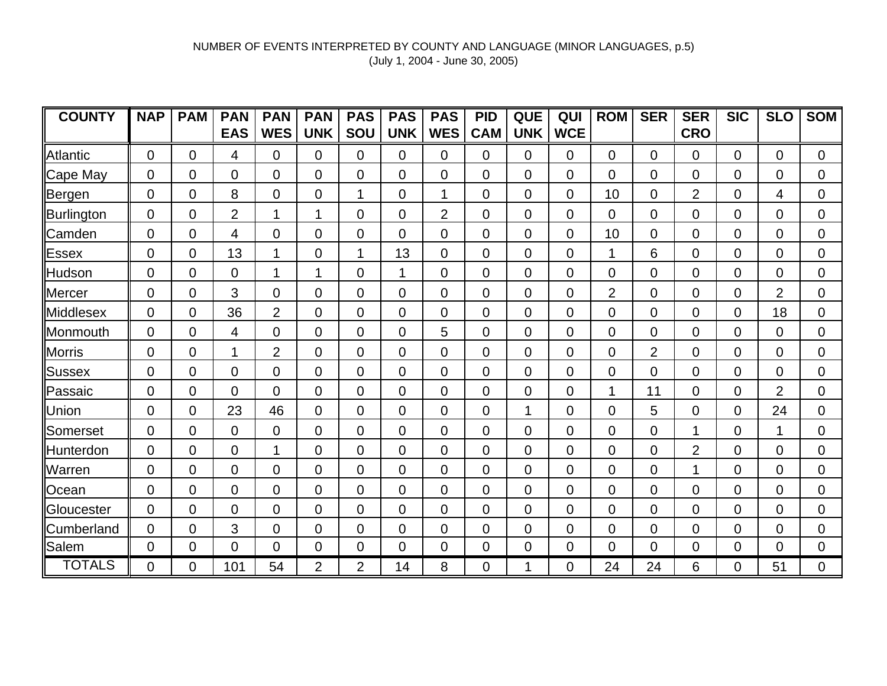| <b>COUNTY</b>    | <b>NAP</b>     | <b>PAM</b> | <b>PAN</b>     | <b>PAN</b>     | <b>PAN</b>     | <b>PAS</b>     | <b>PAS</b>     | <b>PAS</b>     | <b>PID</b>     | <b>QUE</b>     | QUI            | <b>ROM</b>     | <b>SER</b>     | <b>SER</b>     | <b>SIC</b>     | <b>SLO</b>     | <b>SOM</b>     |
|------------------|----------------|------------|----------------|----------------|----------------|----------------|----------------|----------------|----------------|----------------|----------------|----------------|----------------|----------------|----------------|----------------|----------------|
|                  |                |            | <b>EAS</b>     | <b>WES</b>     | <b>UNK</b>     | SOU            | <b>UNK</b>     | <b>WES</b>     | <b>CAM</b>     | <b>UNK</b>     | <b>WCE</b>     |                |                | <b>CRO</b>     |                |                |                |
| Atlantic         | $\overline{0}$ | $\Omega$   | 4              | $\Omega$       | 0              | $\Omega$       | 0              | $\overline{0}$ | $\Omega$       | $\Omega$       | 0              | $\Omega$       | $\Omega$       | $\mathbf{0}$   | $\Omega$       | $\overline{0}$ | $\Omega$       |
| Cape May         | $\mathbf 0$    | 0          | $\overline{0}$ | $\Omega$       | 0              | $\Omega$       | $\overline{0}$ | $\overline{0}$ | $\mathbf 0$    | $\overline{0}$ | $\Omega$       | $\Omega$       | 0              | $\Omega$       | $\Omega$       | 0              | $\overline{0}$ |
| Bergen           | $\overline{0}$ | 0          | 8              | $\overline{0}$ | 0              | 1              | $\overline{0}$ | 1              | $\Omega$       | $\Omega$       | $\Omega$       | 10             | $\Omega$       | $\overline{2}$ | $\overline{0}$ | 4              | $\overline{0}$ |
| Burlington       | 0              | 0          | $\overline{2}$ | 1              | 1              | $\overline{0}$ | $\overline{0}$ | 2              | $\overline{0}$ | $\overline{0}$ | 0              | $\mathbf 0$    | $\overline{0}$ | $\Omega$       | 0              | 0              | $\overline{0}$ |
| Camden           | 0              | 0          | 4              | $\overline{0}$ | 0              | $\overline{0}$ | $\overline{0}$ | $\overline{0}$ | $\overline{0}$ | 0              | 0              | 10             | 0              | $\overline{0}$ | 0              | 0              | $\overline{0}$ |
| <b>Essex</b>     | $\overline{0}$ | 0          | 13             |                | 0              | 1              | 13             | $\overline{0}$ | $\overline{0}$ | 0              | 0              |                | 6              | $\Omega$       | 0              | 0              | $\overline{0}$ |
| Hudson           | $\overline{0}$ | 0          | 0              |                | 1              | $\overline{0}$ | 1              | $\overline{0}$ | $\Omega$       | $\overline{0}$ | $\overline{0}$ | $\mathbf 0$    | $\overline{0}$ | $\overline{0}$ | 0              | 0              | $\overline{0}$ |
| Mercer           | 0              | 0          | 3              | $\overline{0}$ | 0              | $\overline{0}$ | $\overline{0}$ | $\Omega$       | $\Omega$       | 0              | 0              | $\overline{2}$ | $\Omega$       | $\Omega$       | 0              | $\overline{2}$ | $\overline{0}$ |
| <b>Middlesex</b> | $\overline{0}$ | 0          | 36             | $\overline{2}$ | 0              | $\overline{0}$ | $\overline{0}$ | $\overline{0}$ | $\Omega$       | 0              | $\overline{0}$ | $\overline{0}$ | $\overline{0}$ | $\Omega$       | $\overline{0}$ | 18             | $\overline{0}$ |
| Monmouth         | 0              | 0          | 4              | $\Omega$       | 0              | $\overline{0}$ | $\overline{0}$ | 5              | $\Omega$       | 0              | $\Omega$       | $\Omega$       | $\Omega$       | $\Omega$       | $\overline{0}$ | $\Omega$       | $\overline{0}$ |
| <b>Morris</b>    | $\overline{0}$ | 0          | 1              | $\overline{2}$ | 0              | $\overline{0}$ | $\overline{0}$ | $\overline{0}$ | $\overline{0}$ | $\overline{0}$ | 0              | $\overline{0}$ | $\overline{2}$ | $\overline{0}$ | $\overline{0}$ | 0              | $\overline{0}$ |
| Sussex           | 0              | 0          | $\overline{0}$ | $\overline{0}$ | 0              | $\overline{0}$ | $\overline{0}$ | $\overline{0}$ | $\overline{0}$ | $\overline{0}$ | 0              | 0              | 0              | $\overline{0}$ | 0              | 0              | $\overline{0}$ |
| Passaic          | 0              | 0          | $\overline{0}$ | $\overline{0}$ | 0              | 0              | $\mathbf 0$    | $\mathbf 0$    | $\overline{0}$ | 0              | 0              |                | 11             | $\overline{0}$ | 0              | $\overline{2}$ | $\overline{0}$ |
| Union            | $\overline{0}$ | 0          | 23             | 46             | 0              | $\overline{0}$ | $\overline{0}$ | $\overline{0}$ | $\mathbf 0$    | 1              | $\overline{0}$ | $\mathbf 0$    | 5              | $\Omega$       | 0              | 24             | $\overline{0}$ |
| Somerset         | $\mathbf 0$    | 0          | $\overline{0}$ | 0              | 0              | $\overline{0}$ | $\mathbf 0$    | $\mathbf 0$    | $\mathbf 0$    | 0              | $\overline{0}$ | $\mathbf 0$    | 0              | 1              | 0              | 1              | $\overline{0}$ |
| Hunterdon        | $\mathbf 0$    | 0          | 0              | 1              | 0              | $\overline{0}$ | 0              | $\mathbf 0$    | $\mathbf 0$    | 0              | 0              | 0              | 0              | $\overline{2}$ | 0              | 0              | $\overline{0}$ |
| Warren           | $\overline{0}$ | 0          | $\Omega$       | $\Omega$       | 0              | $\overline{0}$ | $\overline{0}$ | $\overline{0}$ | $\mathbf 0$    | 0              | 0              | 0              | 0              | 1              | 0              | 0              | $\mathbf 0$    |
| Ocean            | $\mathbf 0$    | 0          | $\overline{0}$ | $\overline{0}$ | 0              | $\overline{0}$ | $\overline{0}$ | $\mathbf 0$    | $\mathbf 0$    | $\overline{0}$ | $\Omega$       | $\mathbf 0$    | $\Omega$       | $\Omega$       | $\Omega$       | 0              | $\overline{0}$ |
| Gloucester       | $\overline{0}$ | 0          | $\overline{0}$ | $\overline{0}$ | 0              | $\overline{0}$ | $\overline{0}$ | $\overline{0}$ | $\overline{0}$ | $\overline{0}$ | $\Omega$       | $\overline{0}$ | 0              | $\Omega$       | 0              | 0              | $\overline{0}$ |
| Cumberland       | 0              | 0          | 3              | $\overline{0}$ | 0              | $\overline{0}$ | $\overline{0}$ | $\overline{0}$ | $\overline{0}$ | $\overline{0}$ | 0              | $\mathbf 0$    | 0              | $\Omega$       | $\Omega$       | 0              | $\overline{0}$ |
| Salem            | 0              | 0          | $\overline{0}$ | $\overline{0}$ | 0              | $\overline{0}$ | $\overline{0}$ | $\overline{0}$ | $\overline{0}$ | $\overline{0}$ | $\Omega$       | $\overline{0}$ | 0              | $\mathbf 0$    | $\overline{0}$ | $\overline{0}$ | $\overline{0}$ |
| <b>TOTALS</b>    | 0              | 0          | 101            | 54             | $\overline{2}$ | $\overline{2}$ | 14             | 8              | 0              |                | 0              | 24             | 24             | 6              | 0              | 51             | $\mathbf 0$    |